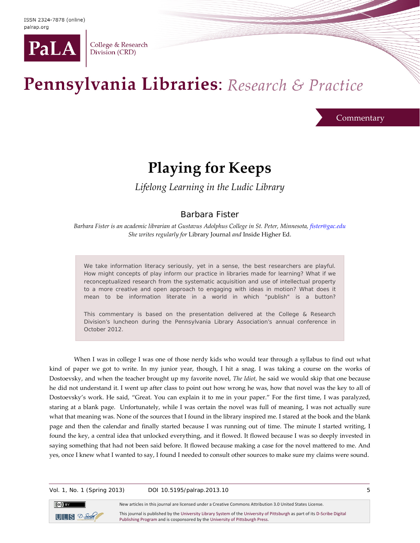

College & Research Division (CRD)

## Pennsylvania Libraries: Research & Practice

**Commentary** 

## **Playing for Keeps**

*Lifelong Learning in the Ludic Library*

## Barbara Fister

*Barbara Fister is an academic librarian at Gustavus Adolphus College in St. Peter, Minnesota, [fister@gac.edu](mailto:fister@gac.edu) She writes regularly for* Library Journal *and* Inside Higher Ed.

We take information literacy seriously, yet in a sense, the best researchers are playful. How might concepts of play inform our practice in libraries made for learning? What if we reconceptualized research from the systematic acquisition and use of intellectual property to a more creative and open approach to engaging with ideas in motion? What does it mean to be information literate in a world in which "publish" is a button?

This commentary is based on the presentation delivered at the College & Research Division's luncheon during the Pennsylvania Library Association's annual conference in October 2012.

When I was in college I was one of those nerdy kids who would tear through a syllabus to find out what kind of paper we got to write. In my junior year, though, I hit a snag. I was taking a course on the works of Dostoevsky, and when the teacher brought up my favorite novel, *The Idiot,* he said we would skip that one because he did not understand it. I went up after class to point out how wrong he was, how that novel was the key to all of Dostoevsky's work. He said, "Great. You can explain it to me in your paper." For the first time, I was paralyzed, staring at a blank page. Unfortunately, while I was certain the novel was full of meaning, I was not actually sure what that meaning was. None of the sources that I found in the library inspired me. I stared at the book and the blank page and then the calendar and finally started because I was running out of time. The minute I started writing, I found the key, a central idea that unlocked everything, and it flowed. It flowed because I was so deeply invested in saying something that had not been said before. It flowed because making a case for the novel mattered to me. And yes, once I knew what I wanted to say, I found I needed to consult other sources to make sure my claims were sound.

Vol. 1, No. 1 (Spring 2013) DOI 10.5195/palrap.2013.10 5

[Publishing Program](http://www.library.pitt.edu/articles/digpubtype/index.html) and is cosponsored by th[e University of Pittsburgh Press.](http://upress.pitt.edu/)

New articles in this journal are licensed under a Creative Commons Attribution 3.0 United States License. This journal is published by th[e University Library System](http://www.library.pitt.edu/) of th[e University of Pittsburgh](http://www.pitt.edu/) as part of it[s D-Scribe Digital](http://www.library.pitt.edu/articles/digpubtype/index.html)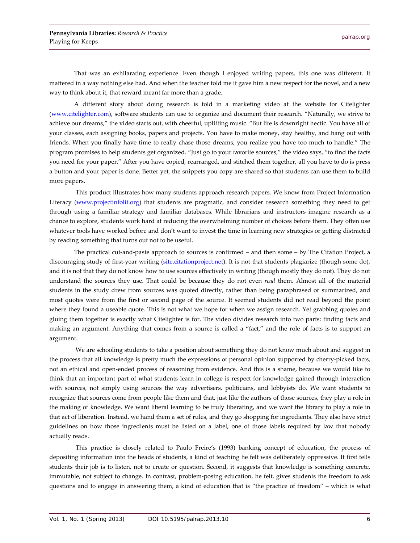That was an exhilarating experience. Even though I enjoyed writing papers, this one was different. It mattered in a way nothing else had. And when the teacher told me it gave him a new respect for the novel, and a new way to think about it, that reward meant far more than a grade.

A different story about doing research is told in a marketing video at the website for Citelighter [\(www.citelighter.com\)](http://www.citelighter.com/), software students can use to organize and document their research. "Naturally, we strive to achieve our dreams," the video starts out, with cheerful, uplifting music. "But life is downright hectic. You have all of your classes, each assigning books, papers and projects. You have to make money, stay healthy, and hang out with friends. When you finally have time to really chase those dreams, you realize you have too much to handle." The program promises to help students get organized. "Just go to your favorite sources," the video says, "to find the facts you need for your paper." After you have copied, rearranged, and stitched them together, all you have to do is press a button and your paper is done. Better yet, the snippets you copy are shared so that students can use them to build more papers.

This product illustrates how many students approach research papers. We know from Project Information Literacy [\(www.projectinfolit.org\)](http://www.projectinfolit.org/) that students are pragmatic, and consider research something they need to get through using a familiar strategy and familiar databases. While librarians and instructors imagine research as a chance to explore, students work hard at reducing the overwhelming number of choices before them. They often use whatever tools have worked before and don't want to invest the time in learning new strategies or getting distracted by reading something that turns out not to be useful.

The practical cut-and-paste approach to sources is confirmed – and then some – by The Citation Project, a discouraging study of first-year writing [\(site.citationproject.net\)](http://site.citationproject.net/). It is not that students plagiarize (though some do), and it is not that they do not know how to use sources effectively in writing (though mostly they do not). They do not understand the sources they use. That could be because they do not even *read* them. Almost all of the material students in the study drew from sources was quoted directly, rather than being paraphrased or summarized, and most quotes were from the first or second page of the source. It seemed students did not read beyond the point where they found a useable quote. This is not what we hope for when we assign research. Yet grabbing quotes and gluing them together is exactly what Citelighter is for. The video divides research into two parts: finding facts and making an argument. Anything that comes from a source is called a "fact," and the role of facts is to support an argument.

We are schooling students to take a position about something they do not know much about and suggest in the process that all knowledge is pretty much the expressions of personal opinion supported by cherry-picked facts, not an ethical and open-ended process of reasoning from evidence. And this is a shame, because we would like to think that an important part of what students learn in college is respect for knowledge gained through interaction with sources, not simply using sources the way advertisers, politicians, and lobbyists do. We want students to recognize that sources come from people like them and that, just like the authors of those sources, they play a role in the making of knowledge. We want liberal learning to be truly liberating, and we want the library to play a role in that act of liberation. Instead, we hand them a set of rules, and they go shopping for ingredients. They also have strict guidelines on how those ingredients must be listed on a label, one of those labels required by law that nobody actually reads.

This practice is closely related to Paulo Freire's (1993) banking concept of education, the process of depositing information into the heads of students, a kind of teaching he felt was deliberately oppressive. It first tells students their job is to listen, not to create or question. Second, it suggests that knowledge is something concrete, immutable, not subject to change. In contrast, problem-posing education, he felt, gives students the freedom to ask questions and to engage in answering them, a kind of education that is "the practice of freedom" – which is what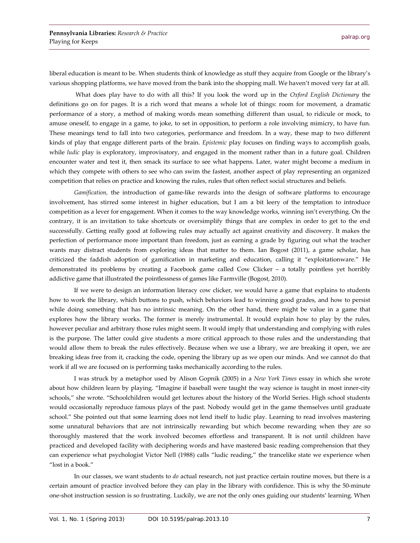liberal education is meant to be. When students think of knowledge as stuff they acquire from Google or the library's various shopping platforms, we have moved from the bank into the shopping mall. We haven't moved very far at all.

What does play have to do with all this? If you look the word up in the *Oxford English Dictionary* the definitions go on for pages. It is a rich word that means a whole lot of things: room for movement, a dramatic performance of a story, a method of making words mean something different than usual, to ridicule or mock, to amuse oneself, to engage in a game, to joke, to set in opposition, to perform a role involving mimicry, to have fun. These meanings tend to fall into two categories, performance and freedom. In a way, these map to two different kinds of play that engage different parts of the brain. *Epistemic* play focuses on finding ways to accomplish goals, while *ludic* play is exploratory, improvisatory, and engaged in the moment rather than in a future goal. Children encounter water and test it, then smack its surface to see what happens. Later, water might become a medium in which they compete with others to see who can swim the fastest, another aspect of play representing an organized competition that relies on practice and knowing the rules, rules that often reflect social structures and beliefs.

*Gamification,* the introduction of game-like rewards into the design of software platforms to encourage involvement, has stirred some interest in higher education, but I am a bit leery of the temptation to introduce competition as a lever for engagement. When it comes to the way knowledge works, winning isn't everything. On the contrary, it is an invitation to take shortcuts or oversimplify things that are complex in order to get to the end successfully. Getting really good at following rules may actually act against creativity and discovery. It makes the perfection of performance more important than freedom, just as earning a grade by figuring out what the teacher wants may distract students from exploring ideas that matter to them. Ian Bogost (2011), a game scholar, has criticized the faddish adoption of gamification in marketing and education, calling it "exploitationware." He demonstrated its problems by creating a Facebook game called Cow Clicker – a totally pointless yet horribly addictive game that illustrated the pointlessness of games like Farmville (Bogost, 2010).

If we were to design an information literacy cow clicker, we would have a game that explains to students how to work the library, which buttons to push, which behaviors lead to winning good grades, and how to persist while doing something that has no intrinsic meaning. On the other hand, there might be value in a game that explores how the library works. The former is merely instrumental. It would explain how to play by the rules, however peculiar and arbitrary those rules might seem. It would imply that understanding and complying with rules is the purpose. The latter could give students a more critical approach to those rules and the understanding that would allow them to break the rules effectively. Because when we use a library, we are breaking it open, we are breaking ideas free from it, cracking the code, opening the library up as we open our minds. And we cannot do that work if all we are focused on is performing tasks mechanically according to the rules.

I was struck by a metaphor used by Alison Gopnik (2005) in a *New York Times* essay in which she wrote about how children learn by playing. "Imagine if baseball were taught the way science is taught in most inner-city schools," she wrote. "Schoolchildren would get lectures about the history of the World Series. High school students would occasionally reproduce famous plays of the past. Nobody would get in the game themselves until graduate school." She pointed out that some learning does not lend itself to ludic play. Learning to read involves mastering some unnatural behaviors that are not intrinsically rewarding but which become rewarding when they are so thoroughly mastered that the work involved becomes effortless and transparent. It is not until children have practiced and developed facility with deciphering words and have mastered basic reading comprehension that they can experience what psychologist Victor Nell (1988) calls "ludic reading," the trancelike state we experience when "lost in a book."

In our classes, we want students to *do* actual research, not just practice certain routine moves, but there is a certain amount of practice involved before they can play in the library with confidence. This is why the 50-minute one-shot instruction session is so frustrating. Luckily, we are not the only ones guiding our students' learning. When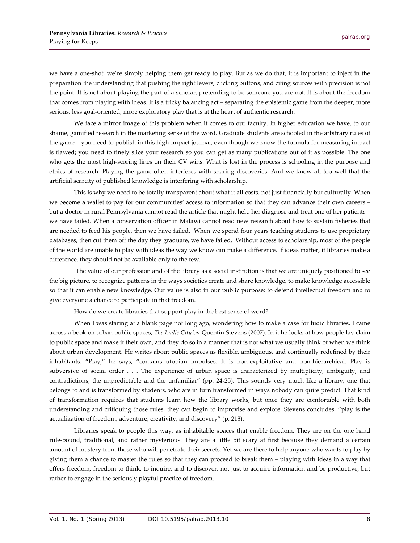we have a one-shot, we're simply helping them get ready to play. But as we do that, it is important to inject in the preparation the understanding that pushing the right levers, clicking buttons, and citing sources with precision is not the point. It is not about playing the part of a scholar, pretending to be someone you are not. It is about the freedom that comes from playing with ideas. It is a tricky balancing act – separating the epistemic game from the deeper, more serious, less goal-oriented, more exploratory play that is at the heart of authentic research.

We face a mirror image of this problem when it comes to our faculty. In higher education we have, to our shame, gamified research in the marketing sense of the word. Graduate students are schooled in the arbitrary rules of the game – you need to publish in this high-impact journal, even though we know the formula for measuring impact is flawed; you need to finely slice your research so you can get as many publications out of it as possible. The one who gets the most high-scoring lines on their CV wins. What is lost in the process is schooling in the purpose and ethics of research. Playing the game often interferes with sharing discoveries. And we know all too well that the artificial scarcity of published knowledge is interfering with scholarship.

This is why we need to be totally transparent about what it all costs, not just financially but culturally. When we become a wallet to pay for our communities' access to information so that they can advance their own careers – but a doctor in rural Pennsylvania cannot read the article that might help her diagnose and treat one of her patients – we have failed. When a conservation officer in Malawi cannot read new research about how to sustain fisheries that are needed to feed his people, then we have failed. When we spend four years teaching students to use proprietary databases, then cut them off the day they graduate, we have failed. Without access to scholarship, most of the people of the world are unable to play with ideas the way we know can make a difference. If ideas matter, if libraries make a difference, they should not be available only to the few.

The value of our profession and of the library as a social institution is that we are uniquely positioned to see the big picture, to recognize patterns in the ways societies create and share knowledge, to make knowledge accessible so that it can enable new knowledge. Our value is also in our public purpose: to defend intellectual freedom and to give everyone a chance to participate in that freedom.

How do we create libraries that support play in the best sense of word?

When I was staring at a blank page not long ago, wondering how to make a case for ludic libraries, I came across a book on urban public spaces, *The Ludic City* by Quentin Stevens (2007). In it he looks at how people lay claim to public space and make it their own, and they do so in a manner that is not what we usually think of when we think about urban development. He writes about public spaces as flexible, ambiguous, and continually redefined by their inhabitants. "Play," he says, "contains utopian impulses. It is non-exploitative and non-hierarchical. Play is subversive of social order . . . The experience of urban space is characterized by multiplicity, ambiguity, and contradictions, the unpredictable and the unfamiliar" (pp. 24-25). This sounds very much like a library, one that belongs to and is transformed by students, who are in turn transformed in ways nobody can quite predict. That kind of transformation requires that students learn how the library works, but once they are comfortable with both understanding and critiquing those rules, they can begin to improvise and explore. Stevens concludes, "play is the actualization of freedom, adventure, creativity, and discovery" (p. 218).

Libraries speak to people this way, as inhabitable spaces that enable freedom. They are on the one hand rule-bound, traditional, and rather mysterious. They are a little bit scary at first because they demand a certain amount of mastery from those who will penetrate their secrets. Yet we are there to help anyone who wants to play by giving them a chance to master the rules so that they can proceed to break them – playing with ideas in a way that offers freedom, freedom to think, to inquire, and to discover, not just to acquire information and be productive, but rather to engage in the seriously playful practice of freedom.